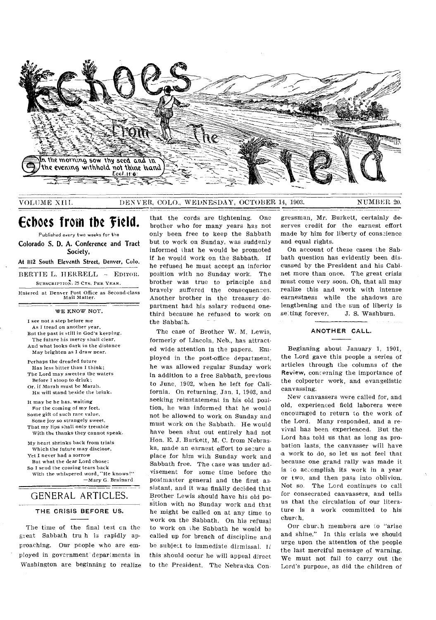

### VOLUME XIII. DEN VEIL, COLO., WEDNESDAY, OCTOBER 14, 1903. NUMBER 20.

# **Echoes from the field.**

Published every two weeks for the

Colorado S. D. A. Conference and Tract Society,

At **1112** South Eleventh Street, Denver, Colo.

BERTIE L. HERRELL - EDITOR.

SUBSCRIPTION, 25 CTS. PER YEAR.

Entered at Denver Post Office as Second-class Mail Matter.

WE KNOW NOT.

I see not a step before me As I tread on another year, But the past is still in God's keeping. The future his mercy shall clear, And what looks dark in the distance May brighten as I draw near. Perhaps the dreaded future Has less bitter than I think; The Lord may sweeten the waters Before I stoop to drink; Or, if Marah must be Marah. HE will stand beside the brink. It may he he has, waiting For the coming of my feet, Some gift of such rare value, Some joy so strangely sweet,

That my lips shall only tremble With the thanks they cannot speak.

My heart shrinks back from trials Which the future may disclose, Yet I never had a sorrow But what the dear Lord chose; So I send the coming tears back With the whispered word, "He knows!" —Mary G. Brainard

# GENERAL ARTICLES.

# **THE** CRISIS **BEFORE US.**

The time of the final test cn the great Sabbath tru h is rapidly approaching. Our people who are employed in government' departments in Washington are beginning to realize

that the cords are tightening. One brother who for many years has not only been free to keep the Sabbath but to work on Sunday, was suddenly informed that he would be promoted if he would work on the Sabbath. If he refused he must accept an inferior position with no Sunday work. The brother was true to principle and bravely suffered the consequences. Another brother in the treasury de partment had his salary reduced onethird because he refused to work on the Sabbath.

The case of Brother W. M. Lewis, formerly of Lincoln, Neb., has attracted wide attention in the papers. Employed in the post-office department, he was allowed regular Sunday work in addition to a free Sabbath, previous to June, 1902, when he left for California. On returning, Jan. 1, 1903, and seeking reinstatement in his old position, he was informed that he would not be allowed to work on Sunday and must work on the Sabbath. He would have been shut out entirely had not Hon. E. J. Burkett, M. C. from Nebraska, made an earnest effort to secure a place for him with Sunday work and Sabbath free. The case was under advisement for some time before the postmaster general and the first assistant, and it was finally decided that Brother Lewis should have his old position with no Sunday work and that he might be called on at any time to work on the Sabbath. On his refusal to work on the Sabbath he would be called up for breach of discipline and be subject to immediate dismissal. If. this should occur he will appeal direct to the President. The Nebraska Congressman, Mr. Burkett, certainly deserves credit for the earnest effort made by him for liberty of conscience and equal rights.

On account of these cases the Sabbath question has evidently been discussed by the President and his Cabinet more than once. The great crisis must come very soon. Oh, that all may realize this and work with intense earnestness while the shadows are lengthening and the sun of liberty is setting forever. J. S. Washburn.

# **ANOTHER CALL.**

Beginning about. January 1, 1901, the Lord gave this people a series of articles through the columns of the Review, concerning the importance of the colporter work, and evangelistic canvassing.

New canvassers were called for, and old, experienced field laborers were encouraged to return to the work of the Lord. Many responded, and a revival has been experienced. But the Lord has told us that as long as probation lasts, the canvasser will have a work to do, so let us not feel that because one grand rally was made it is io accomplish its work in a year or two, and then pass into oblivion. Not so. The Lord continues to call for consecrated canvassers, and tells us that the circulation of our literature is a work committed to his churc h.

Our chur.h members are to "arise and shine." In this crisis we should urge upon the attention of the people the last merciful message of warning. We must not fail to carry out the Lord's purpose, as did the children of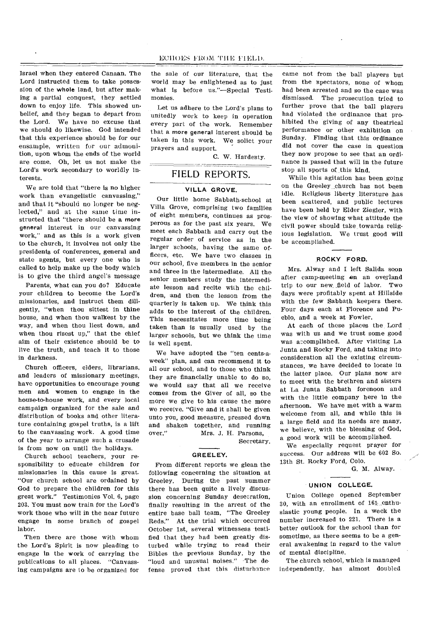Israel when they entered Canaan. The Lord instructed them to take possession of the whole land, but after making a partial conquest, they settled down to enjoy life. This showed unbelief, and they began to depart from the Lord. We have no excuse that we should do likewise. God intended that this experience should be for our ensample, written for our admonition, upon whom the ends of the world are come. Oh, let us not make the Lord's work secondary to worldly interests.

We are told that "there is no higher work than evangelistic canvassing," and that it "should no longer be neglected," and at the same time instructed that "there should be a more general interest in our canvassing work," and as this is a work given to the church, it involves not only the presidents of conferences, general and state agents, but every one who is called to help make up the body which is to give the third angel's message

Parents, what can you do? Educate your children to become the Lord's missionaries, and instruct them diligently, "when thou sittest in thine house, and when thou walkest by the way, and when thou liest down, and when thou risest up," that the chief aim of their existence should be to live the truth, and teach it to those in darkness.

Church officers, elders, librarians, and leaders of missionary meetings, have opportunities to encourage young men and women to engage in the house-to-house work, and every local campaign organized for the sale and distribution of books and other literature containing gospel truths, is a lift to the canvassing work. A good time of the year to arrange such a crusade is from now on until the holidays.

Church school teachers, your responsibility to educate children for missionaries in this cause is great. "Our church school are ordained by God to prepare the children for this great work." Testimonies Vol. 6, page 203. You must now train for the Lord's work those who will in the near future engage in some branch of gospel labor.

Then there are those with whom the Lord's Spirit is now pleading to engage in the work of carrying the publications to all places. "Canvassing campaigns are to he organized for the sale of our literature, that the world may be enlightened as to just what is before us."—Special Testimonies.

Let us adhere to the Lord's plans to unitedly work to keep in operation every part of the work. Remember that a more general interest should be taken in this work. We solict your prayers and support.

C. W. Hardesty.

# FIELD REPORTS.

# **VILLA GROVE.**

Our little home Sabbath-school at Villa Grove, comprising two families of eight members, continues as prosperous as for the past six years. We meet each Sabbath and carry out the regular order of service as in the larger schools, having the same officers, etc. We have two classes in our school, five members in the senior and three in the intermediate. All the senior members study the intermediate lesson and recite with the children, and then the lesson from the quarterly is taken up. We think this adds to the interest of the children. This necessitates more time being taken than is usually used by the larger schools, but we think the time is well spent.

We have adopted the "ten cents-aweek" plan, and can recommend it to all our school, and to those who think they are financially unable to do 'so, we would say that all we receive comes from the Giver of all, so the more we give to his cause the more we receive. "Give and it shall be given unto you, good measure, pressed down and shaken together, and running<br>over." Mrs. J. H. Parsons. Mrs. J. H. Parsons,

Secretary.

#### **GREELEY.**

From different reports we glean the following concerning the situation at Greeley. During the past 'summer there has been quite a lively discussion concerning Sunday desecration, finally resulting in the arrest of the entire base ball team, "The Greeley Reds." At the trial which occurred October 1st, several witnessess testified that they had been greatly disturbed while trying to read their Bibles the previous Sunday, by the "loud and unusual noises." The defense proved that this disturbance

came not from the ball players but from the spectators, none of whom had been arrested and so the case was dismissed. The prosecution tried to further prove that the ball players had violated the ordinance that prohibited the giving of any theatrical performance or other exhibition on Sunday. Finding that this ordinance did not cover the case in question they now propose to see that an ordinance is passed that will in the future stop all sports of this kind.

While this agitation has been going on the Greeley church has not been idle. Religious liberty literature has been scattered, and public lectures have been held by Elder Ziegler, with the view of showing what attitude the civil power should take towards religious legislation. We trust good will be accomplished.

# **ROCKY FORD.**

Mrs. Alway and I left Salida soon after camp-meeting on an overland trip to our new. field of labor. Two days were profitably spent at Hillside with the few Sabbath keepers there. Four days each at Florence and Pueblo, and a week at Fowler.

At each of these places the Lord was with us and we trust some good was accomplished. After visiting La Junta and Rocky Ford, and taking into consideration all the existing circumstances, we have decided to locate in the latter place. Our plans now are to meet with the brethren and sisters at La Junta Sabbath forenoon and with the little company here in the afternoon. We have met with a warm welcome from all, and while this is a large field and its needs are many, we believe, with the blessing of God, a good work will be accomplished.

We especially request prayer for success. Our address will be 602 So. 13th St. Rocky Ford, Colo.

G. M. Alway.

#### **UNION COLLEGE.**

Union College opened September 30, with an enrollment of 161 enthusiastic young people. In a week the number increased to 221. There is a better outlook for the school than for sometime, as there seems to be a general awakening in regard to the value of mental discipline.

The church school, which is managed independently, has almost doubled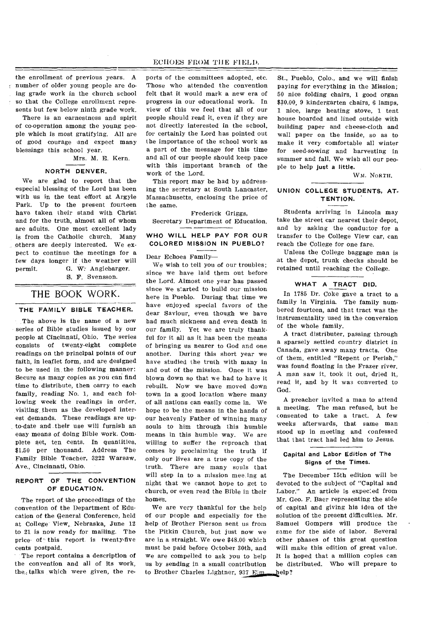the enrollment of previous years. A number of older young people are doing grade work in the church school so that the College enrollment represents but few below ninth grade work.

There is an earnestness and spirit of co-operation among the young people which is most gratifying. All are of good courage and expect many blessings this school year.

Mrs. M. E. Kern.

# **NORTH DENVER.**

We are glad to report that the especial blessing of the Lord has been with us in the tent effort at Argyle Park. Up to the present fourteen have taken their stand with Christ and for the truth, almost all of whom are adults. One most excellent lady is from the Catholic church. Many others are deeply interested. We expect to continue the meetings for a few days longer if the weather will permit. G. W. Anglebarger. S. F. Svensson.

# THE BOOK WORK.

# **THE FAMILY BIBLE TEACHER.**

The above is the name of a new series of Bible studies issued by our people at Cincinnati, Ohio. The series consists of twenty-eight complete readings on the principal points of our faith, in leaflet form, and are designed to be used in the following manner: Secure as many copies as you can find time to distribute, then carry to each family, reading No. 1, and each following week the readings in order, visiting them as the developed interest demands. These readings are upto-date and their use will furnish an easy means of doing Bible work. Complete set, ten cents. In quantities, \$1.50 per thousand. Address The Family Bible Teacher, 3222 Warsaw, Ave., Cincinnati, Ohio.

# **REPORT OF THE CONVENTION OF EDUCATION.**

The report of the proceedings of the convention of the Department of Education of the General Conference, held at College View, Nebraska, June 12 to 21 is now ready for mailing. The price of • this report is twenty-five cents postpaid.

The report contains a description of the convention and all of its work, the, talks which were given, the reports of the committees adopted, etc. Those who attended the convention felt that it would mark a new era of progress in our educational work. In view of this we feel that all of our people should read it, even if they are not directly interested in the school, for certainly the Lord has pointed out the importance of the school work as a part of the message for this time and all of our people should keep pace with this important branch of the work of the Lord.

This report may be had by addressing the secretary at South Lancaster, Massachusetts, enclosing the price of the same.

Frederick Griggs, Secretary Department of Education.

# **WHO WILL HELP PAY FOR OUR COLORED MISSION IN PUEBLO?**

Dear Echoes Family—

We wish to tell you of our troubles; since we have laid them out before the Lord. Almost one year has passed since we started to build our mission here in Pueblo. During that time we have enjoyed special favors of the dear Saviour, even though we have had much sickness and even death in our family. Yet we are truly thankful for it all as it has been the means of bringing us nearer to God and one another. During this short year we have studied the truth with many in and out of the mission. Once it was blown down so that we had to have it rebuilt. Now we have moved down town in a good location where many of all nations can easily come in. We hope to be the means in the hands of our heavenly Father of winning many souls to him through this humble means in this humble way. We are willing to suffer the reproach that comes by proclaiming the truth if only our lives are a true copy of the truth. There are many souls that will step in to a mission meeting at night that we cannot hope to get to church, or even read the Bible in their home's.

We are very thankful for the help of our people and especially for the help of Brother Pierson sent us from the Pitkin Church, but just now we are in a straight. We owe \$48.00 which must be paid before October 30th, and we are compelled to ask you to help us by sending in a small contribution to Brother Charles Lightner, 937  $Eim$ .

St., Pueblo, Colo., and we will finish paying for everything in the Mission; 50 nice folding chairs, 1 good organ \$30.00, 9 kindergarten chairs, 6 lamps, 1 nice, large heating stove, 1 tent house boarded and lined outside with building paper and cheese-cloth and wall paper on the inside, so as to make it very comfortable all winter for seed-sowing and harvesting in summer and fall. We wish all our people to help **just a little.** 

WM. NORTH.

# **UNION COLLEGE STUDENTS, AT-TENTION.**

Students arriving in Lincoln may take the street car nearest their depot, and by asking the conductor for a transfer to the College View car, can reach the College for one fare.

Unless the College baggage man is at the depot, trunk checks should be retained until reaching the College.

# **WHAT A TRACT DID.**

In 1785 Dr. Coke gave a tract to a family in Virginia. The family numbered fourteen, and that tract was the instrumentality used in the conversion of the whole family.

A tract distributer, passing through a sparsely settled country district in Canada, gave away many tracts. One of them, entitled "Repent or Perish," was found floating in the Frazer river. A man saw it, took it out, dried it, read it, and by it was converted to God.

A preacher invited a man to attend a meeting. The man refused, but he consented to take a tract. A few weeks afterwards, that same man stood up in meeting and confessed that that tract had led him to Jesus.

# **Capital and Labor Edition of The Signs of the Times.**

The December 15th edition will be devoted to the subject of "Capital and Labor." An article is expected from Mr. Geo. F. Baer representing the side of capital and giving his idea of the solution of the present difficulties. Mr. Samuel Gompers will produce the same for the side of labor. Several other phases of this great question will make this edition of great value. It is hoped that a million copies can be distributed. Who will prepare to elp?